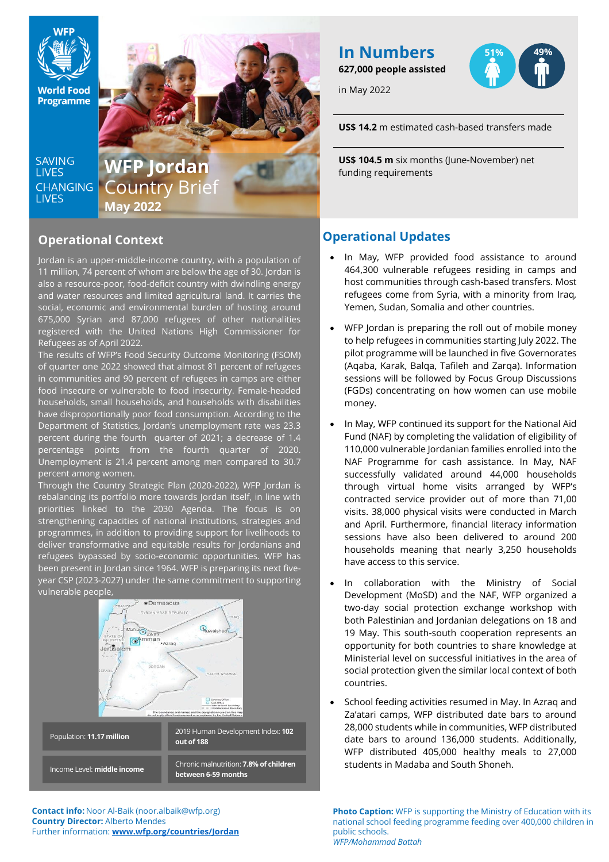

**World Food Programme** 

**SAVING LIVES CHANGING LIVES** 

Country Brief **May 2022**

# **Operational Context**

Jordan is an upper-middle-income country, with a population of 11 million, 74 percent of whom are below the age of 30. Jordan is also a resource-poor, food-deficit country with dwindling energy and water resources and limited agricultural land. It carries the social, economic and environmental burden of hosting around 675,000 Syrian and 87,000 refugees of other nationalities registered with the United Nations High Commissioner for Refugees as of April 2022.

The results of WFP's Food Security Outcome Monitoring (FSOM) of quarter one 2022 showed that almost 81 percent of refugees in communities and 90 percent of refugees in camps are either food insecure or vulnerable to food insecurity. Female-headed households, small households, and households with disabilities have disproportionally poor food consumption. According to the Department of Statistics, Jordan's unemployment rate was 23.3 percent during the fourth quarter of 2021; a decrease of 1.4 percentage points from the fourth quarter of 2020. Unemployment is 21.4 percent among men compared to 30.7 percent among women.

Through the Country Strategic Plan (2020-2022), WFP Jordan is rebalancing its portfolio more towards Jordan itself, in line with priorities linked to the 2030 Agenda. The focus is on strengthening capacities of national institutions, strategies and programmes, in addition to providing support for livelihoods to deliver transformative and equitable results for Jordanians and refugees bypassed by socio-economic opportunities. WFP has been present in Jordan since 1964. WFP is preparing its next fiveyear CSP (2023-2027) under the same commitment to supporting vulnerable people,



**Contact info:** Noor Al-Baik (noor.albaik@wfp.org) **Country Director:** Alberto Mendes Further information: **[www.wfp.org/countries/Jordan](http://www.wfp.org/countries/Jordan)**

**In Numbers 627,000 people assisted**

in May 2022

**51% 49%**

**US\$ 14.2** m estimated cash-based transfers made

**WFP Jordan** US\$ 104.5 m six months (June-November) net funding requirements

# **Operational Updates**

- In May, WFP provided food assistance to around 464,300 vulnerable refugees residing in camps and host communities through cash-based transfers. Most refugees come from Syria, with a minority from Iraq, Yemen, Sudan, Somalia and other countries.
- WFP Jordan is preparing the roll out of mobile money to help refugees in communities starting July 2022. The pilot programme will be launched in five Governorates (Aqaba, Karak, Balqa, Tafileh and Zarqa). Information sessions will be followed by Focus Group Discussions (FGDs) concentrating on how women can use mobile money.
- In May, WFP continued its support for the National Aid Fund (NAF) by completing the validation of eligibility of 110,000 vulnerable Jordanian families enrolled into the NAF Programme for cash assistance. In May, NAF successfully validated around 44,000 households through virtual home visits arranged by WFP's contracted service provider out of more than 71,00 visits. 38,000 physical visits were conducted in March and April. Furthermore, financial literacy information sessions have also been delivered to around 200 households meaning that nearly 3,250 households have access to this service.
- In collaboration with the Ministry of Social Development (MoSD) and the NAF, WFP organized a two-day social protection exchange workshop with both Palestinian and Jordanian delegations on 18 and 19 May. This south-south cooperation represents an opportunity for both countries to share knowledge at Ministerial level on successful initiatives in the area of social protection given the similar local context of both countries.
- School feeding activities resumed in May. In Azraq and Za'atari camps, WFP distributed date bars to around 28,000 students while in communities, WFP distributed date bars to around 136,000 students. Additionally, WFP distributed 405,000 healthy meals to 27,000 students in Madaba and South Shoneh.

**Photo Caption:** WFP is supporting the Ministry of Education with its national school feeding programme feeding over 400,000 children in public schools. *WFP/Mohammad Battah*